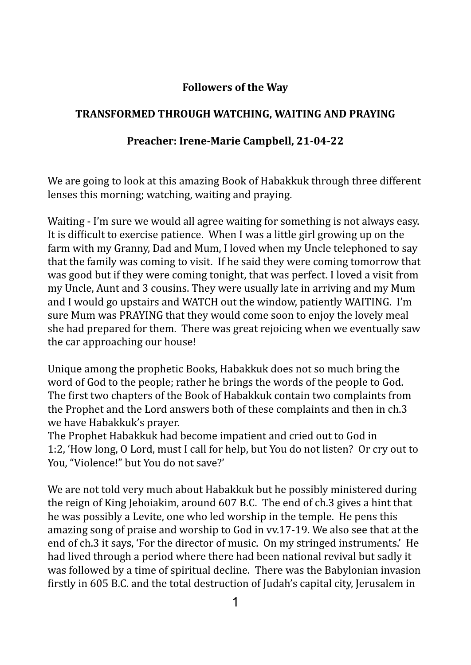## **Followers of the Way**

## **TRANSFORMED THROUGH WATCHING, WAITING AND PRAYING**

## Preacher: Irene-Marie Campbell, 21-04-22

We are going to look at this amazing Book of Habakkuk through three different lenses this morning; watching, waiting and praying.

Waiting - I'm sure we would all agree waiting for something is not always easy. It is difficult to exercise patience. When I was a little girl growing up on the farm with my Granny, Dad and Mum, I loved when my Uncle telephoned to say that the family was coming to visit. If he said they were coming tomorrow that was good but if they were coming tonight, that was perfect. I loved a visit from my Uncle, Aunt and 3 cousins. They were usually late in arriving and my Mum and I would go upstairs and WATCH out the window, patiently WAITING. I'm sure Mum was PRAYING that they would come soon to enjoy the lovely meal she had prepared for them. There was great rejoicing when we eventually saw the car approaching our house!

Unique among the prophetic Books, Habakkuk does not so much bring the word of God to the people; rather he brings the words of the people to God. The first two chapters of the Book of Habakkuk contain two complaints from the Prophet and the Lord answers both of these complaints and then in ch.3 we have Habakkuk's prayer.

The Prophet Habakkuk had become impatient and cried out to God in 1:2, 'How long, O Lord, must I call for help, but You do not listen? Or cry out to You, "Violence!" but You do not save?'

We are not told very much about Habakkuk but he possibly ministered during the reign of King Jehoiakim, around  $607$  B.C. The end of ch.3 gives a hint that he was possibly a Levite, one who led worship in the temple. He pens this amazing song of praise and worship to God in vv.17-19. We also see that at the end of ch.3 it says, 'For the director of music. On my stringed instruments.' He had lived through a period where there had been national revival but sadly it was followed by a time of spiritual decline. There was the Babylonian invasion firstly in 605 B.C. and the total destruction of Judah's capital city, Jerusalem in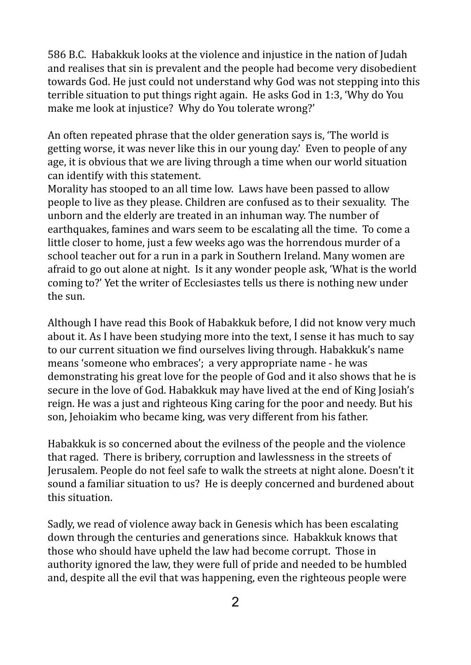586 B.C. Habakkuk looks at the violence and injustice in the nation of Judah and realises that sin is prevalent and the people had become very disobedient towards God. He just could not understand why God was not stepping into this terrible situation to put things right again. He asks  $God$  in 1:3, 'Why  $do$  You make me look at injustice? Why do You tolerate wrong?'

An often repeated phrase that the older generation says is, 'The world is getting worse, it was never like this in our young day.' Even to people of any age, it is obvious that we are living through a time when our world situation can identify with this statement.

Morality has stooped to an all time low. Laws have been passed to allow people to live as they please. Children are confused as to their sexuality. The unborn and the elderly are treated in an inhuman way. The number of earthquakes, famines and wars seem to be escalating all the time. To come a little closer to home, just a few weeks ago was the horrendous murder of a school teacher out for a run in a park in Southern Ireland. Many women are afraid to go out alone at night. Is it any wonder people ask, 'What is the world coming to?' Yet the writer of Ecclesiastes tells us there is nothing new under the sun.

Although I have read this Book of Habakkuk before, I did not know very much about it. As I have been studying more into the text, I sense it has much to say to our current situation we find ourselves living through. Habakkuk's name means 'someone who embraces'; a very appropriate name - he was demonstrating his great love for the people of God and it also shows that he is secure in the love of God. Habakkuk may have lived at the end of King Josiah's reign. He was a just and righteous King caring for the poor and needy. But his son, Jehoiakim who became king, was very different from his father.

Habakkuk is so concerned about the evilness of the people and the violence that raged. There is bribery, corruption and lawlessness in the streets of Jerusalem. People do not feel safe to walk the streets at night alone. Doesn't it sound a familiar situation to us? He is deeply concerned and burdened about this situation.

Sadly, we read of violence away back in Genesis which has been escalating down through the centuries and generations since. Habakkuk knows that those who should have upheld the law had become corrupt. Those in authority ignored the law, they were full of pride and needed to be humbled and, despite all the evil that was happening, even the righteous people were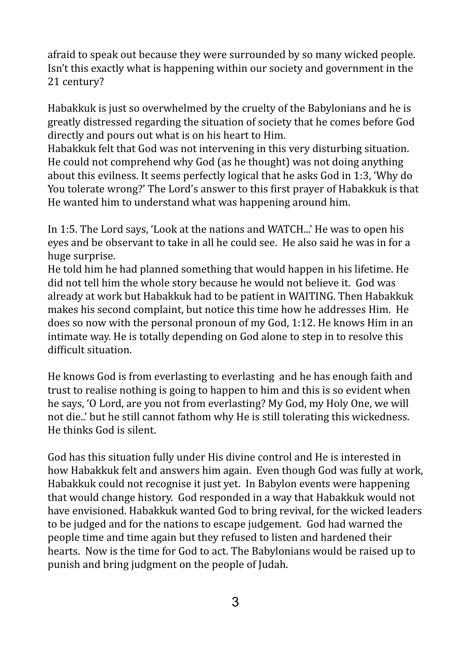afraid to speak out because they were surrounded by so many wicked people. Isn't this exactly what is happening within our society and government in the 21 century?

Habakkuk is just so overwhelmed by the cruelty of the Babylonians and he is greatly distressed regarding the situation of society that he comes before God directly and pours out what is on his heart to Him.

Habakkuk felt that God was not intervening in this very disturbing situation. He could not comprehend why God (as he thought) was not doing anything about this evilness. It seems perfectly logical that he asks God in 1:3, 'Why do You tolerate wrong?' The Lord's answer to this first prayer of Habakkuk is that He wanted him to understand what was happening around him.

In 1:5. The Lord says, 'Look at the nations and WATCH...' He was to open his eyes and be observant to take in all he could see. He also said he was in for a huge surprise.

He told him he had planned something that would happen in his lifetime. He did not tell him the whole story because he would not believe it. God was already at work but Habakkuk had to be patient in WAITING. Then Habakkuk makes his second complaint, but notice this time how he addresses Him. He does so now with the personal pronoun of my God, 1:12. He knows Him in an intimate way. He is totally depending on God alone to step in to resolve this difficult situation.

He knows God is from everlasting to everlasting and he has enough faith and trust to realise nothing is going to happen to him and this is so evident when he says, 'O Lord, are you not from everlasting? My God, my Holy One, we will not die..' but he still cannot fathom why He is still tolerating this wickedness. He thinks God is silent.

God has this situation fully under His divine control and He is interested in how Habakkuk felt and answers him again. Even though God was fully at work. Habakkuk could not recognise it just yet. In Babylon events were happening that would change history. God responded in a way that Habakkuk would not have envisioned. Habakkuk wanted God to bring revival, for the wicked leaders to be judged and for the nations to escape judgement. God had warned the people time and time again but they refused to listen and hardened their hearts. Now is the time for God to act. The Babylonians would be raised up to punish and bring judgment on the people of Judah.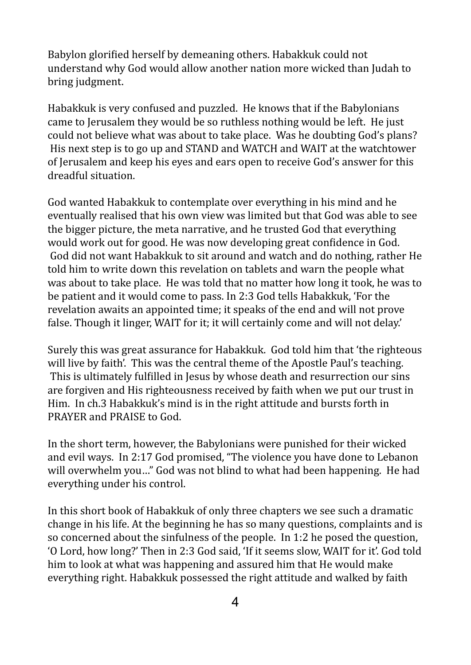Babylon glorified herself by demeaning others. Habakkuk could not understand why God would allow another nation more wicked than Judah to bring judgment.

Habakkuk is very confused and puzzled. He knows that if the Babylonians came to Jerusalem they would be so ruthless nothing would be left. He just could not believe what was about to take place. Was he doubting God's plans? His next step is to go up and STAND and WATCH and WAIT at the watchtower of Jerusalem and keep his eyes and ears open to receive God's answer for this dreadful situation.

God wanted Habakkuk to contemplate over everything in his mind and he eventually realised that his own view was limited but that God was able to see the bigger picture, the meta narrative, and he trusted God that everything would work out for good. He was now developing great confidence in God. God did not want Habakkuk to sit around and watch and do nothing, rather He told him to write down this revelation on tablets and warn the people what was about to take place. He was told that no matter how long it took, he was to be patient and it would come to pass. In 2:3 God tells Habakkuk, 'For the revelation awaits an appointed time; it speaks of the end and will not prove false. Though it linger, WAIT for it; it will certainly come and will not delay.'

Surely this was great assurance for Habakkuk. God told him that 'the righteous will live by faith'. This was the central theme of the Apostle Paul's teaching. This is ultimately fulfilled in Jesus by whose death and resurrection our sins are forgiven and His righteousness received by faith when we put our trust in Him. In ch.3 Habakkuk's mind is in the right attitude and bursts forth in PRAYER and PRAISE to God.

In the short term, however, the Babylonians were punished for their wicked and evil ways. In 2:17 God promised, "The violence you have done to Lebanon will overwhelm you..." God was not blind to what had been happening. He had everything under his control.

In this short book of Habakkuk of only three chapters we see such a dramatic change in his life. At the beginning he has so many questions, complaints and is so concerned about the sinfulness of the people. In 1:2 he posed the question, 'O Lord, how long?' Then in 2:3 God said, 'If it seems slow, WAIT for it'. God told him to look at what was happening and assured him that He would make everything right. Habakkuk possessed the right attitude and walked by faith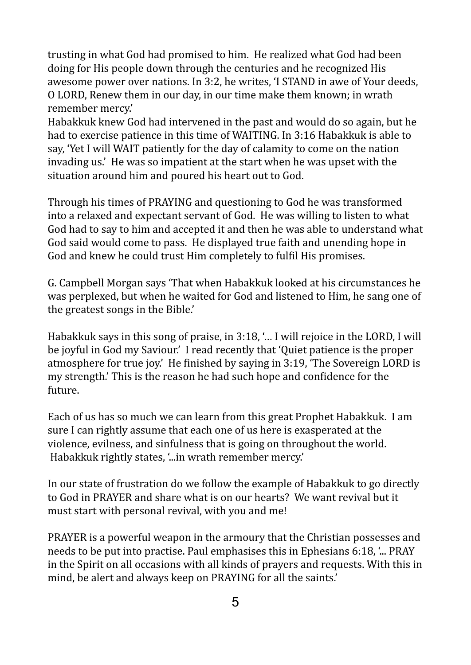trusting in what God had promised to him. He realized what God had been doing for His people down through the centuries and he recognized His awesome power over nations. In 3:2, he writes, 'I STAND in awe of Your deeds, O LORD, Renew them in our day, in our time make them known; in wrath remember mercy.'

Habakkuk knew God had intervened in the past and would do so again, but he had to exercise patience in this time of WAITING. In 3:16 Habakkuk is able to say, 'Yet I will WAIT patiently for the day of calamity to come on the nation invading us.' He was so impatient at the start when he was upset with the situation around him and poured his heart out to God.

Through his times of PRAYING and questioning to God he was transformed into a relaxed and expectant servant of God. He was willing to listen to what God had to say to him and accepted it and then he was able to understand what God said would come to pass. He displayed true faith and unending hope in God and knew he could trust Him completely to fulfil His promises.

G. Campbell Morgan says 'That when Habakkuk looked at his circumstances he was perplexed, but when he waited for God and listened to Him, he sang one of the greatest songs in the Bible.'

Habakkuk says in this song of praise, in  $3:18$ , '... I will rejoice in the LORD, I will be joyful in God my Saviour.' I read recently that 'Quiet patience is the proper atmosphere for true joy.' He finished by saying in  $3:19$ , 'The Sovereign LORD is my strength.' This is the reason he had such hope and confidence for the future.

Each of us has so much we can learn from this great Prophet Habakkuk. I am sure I can rightly assume that each one of us here is exasperated at the violence, evilness, and sinfulness that is going on throughout the world. Habakkuk rightly states, '...in wrath remember mercy.'

In our state of frustration do we follow the example of Habakkuk to go directly to God in PRAYER and share what is on our hearts? We want revival but it must start with personal revival, with you and me!

PRAYER is a powerful weapon in the armoury that the Christian possesses and needs to be put into practise. Paul emphasises this in Ephesians  $6:18$ ,  $\ldots$  PRAY in the Spirit on all occasions with all kinds of prayers and requests. With this in mind, be alert and always keep on PRAYING for all the saints.'